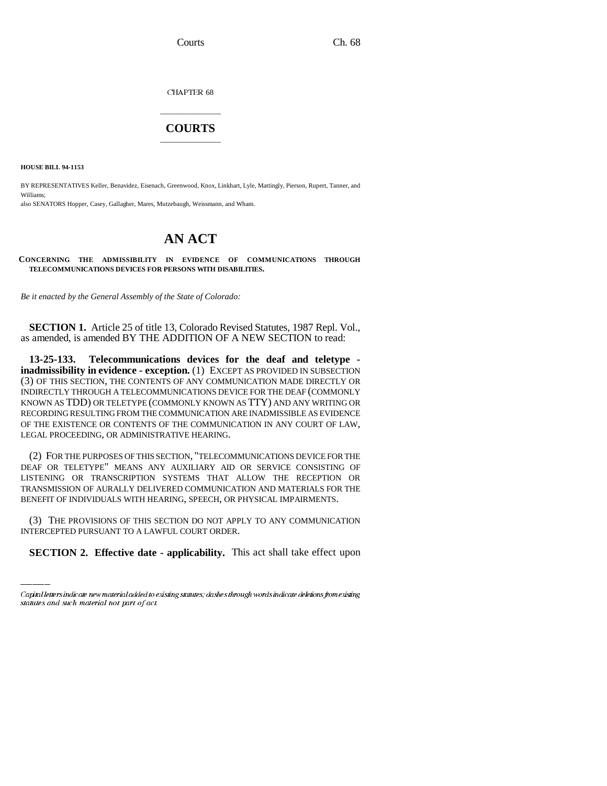Courts Ch. 68

CHAPTER  $68$ 

## \_\_\_\_\_\_\_\_\_\_\_\_\_\_\_ **COURTS** \_\_\_\_\_\_\_\_\_\_\_\_\_\_\_

**HOUSE BILL 94-1153**

BY REPRESENTATIVES Keller, Benavidez, Eisenach, Greenwood, Knox, Linkhart, Lyle, Mattingly, Pierson, Rupert, Tanner, and Williams; also SENATORS Hopper, Casey, Gallagher, Mares, Mutzebaugh, Weissmann, and Wham.

## **AN ACT**

**CONCERNING THE ADMISSIBILITY IN EVIDENCE OF COMMUNICATIONS THROUGH TELECOMMUNICATIONS DEVICES FOR PERSONS WITH DISABILITIES.**

*Be it enacted by the General Assembly of the State of Colorado:*

**SECTION 1.** Article 25 of title 13, Colorado Revised Statutes, 1987 Repl. Vol., as amended, is amended BY THE ADDITION OF A NEW SECTION to read:

**13-25-133. Telecommunications devices for the deaf and teletype inadmissibility in evidence - exception.** (1) EXCEPT AS PROVIDED IN SUBSECTION (3) OF THIS SECTION, THE CONTENTS OF ANY COMMUNICATION MADE DIRECTLY OR INDIRECTLY THROUGH A TELECOMMUNICATIONS DEVICE FOR THE DEAF (COMMONLY KNOWN AS TDD) OR TELETYPE (COMMONLY KNOWN AS TTY) AND ANY WRITING OR RECORDING RESULTING FROM THE COMMUNICATION ARE INADMISSIBLE AS EVIDENCE OF THE EXISTENCE OR CONTENTS OF THE COMMUNICATION IN ANY COURT OF LAW, LEGAL PROCEEDING, OR ADMINISTRATIVE HEARING.

(2) FOR THE PURPOSES OF THIS SECTION, "TELECOMMUNICATIONS DEVICE FOR THE DEAF OR TELETYPE" MEANS ANY AUXILIARY AID OR SERVICE CONSISTING OF LISTENING OR TRANSCRIPTION SYSTEMS THAT ALLOW THE RECEPTION OR TRANSMISSION OF AURALLY DELIVERED COMMUNICATION AND MATERIALS FOR THE BENEFIT OF INDIVIDUALS WITH HEARING, SPEECH, OR PHYSICAL IMPAIRMENTS.

(3) THE PROVISIONS OF THIS SECTION DO NOT APPLY TO ANY COMMUNICATION INTERCEPTED PURSUANT TO A LAWFUL COURT ORDER.

**SECTION 2. Effective date - applicability.** This act shall take effect upon

Capital letters indicate new material added to existing statutes; dashes through words indicate deletions from existing statutes and such material not part of act.